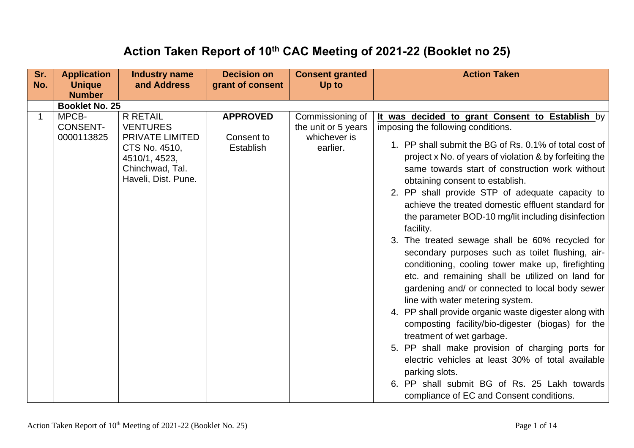## **Action Taken Report of 10th CAC Meeting of 2021-22 (Booklet no 25)**

| Sr.<br>No. | <b>Application</b><br><b>Unique</b><br><b>Number</b> | <b>Industry name</b><br>and Address                                                                                               | <b>Decision on</b><br>grant of consent            | <b>Consent granted</b><br>Up to                                     | <b>Action Taken</b>                                                                                                                                                                                                                                                                                                                                                                                                                                                                                                                                                                                                                                                                                                                                                                                                                                                                                                                                                                                                                                                                                                                                   |
|------------|------------------------------------------------------|-----------------------------------------------------------------------------------------------------------------------------------|---------------------------------------------------|---------------------------------------------------------------------|-------------------------------------------------------------------------------------------------------------------------------------------------------------------------------------------------------------------------------------------------------------------------------------------------------------------------------------------------------------------------------------------------------------------------------------------------------------------------------------------------------------------------------------------------------------------------------------------------------------------------------------------------------------------------------------------------------------------------------------------------------------------------------------------------------------------------------------------------------------------------------------------------------------------------------------------------------------------------------------------------------------------------------------------------------------------------------------------------------------------------------------------------------|
|            | <b>Booklet No. 25</b>                                |                                                                                                                                   |                                                   |                                                                     |                                                                                                                                                                                                                                                                                                                                                                                                                                                                                                                                                                                                                                                                                                                                                                                                                                                                                                                                                                                                                                                                                                                                                       |
|            | MPCB-<br><b>CONSENT-</b><br>0000113825               | <b>R RETAIL</b><br><b>VENTURES</b><br>PRIVATE LIMITED<br>CTS No. 4510,<br>4510/1, 4523,<br>Chinchwad, Tal.<br>Haveli, Dist. Pune. | <b>APPROVED</b><br>Consent to<br><b>Establish</b> | Commissioning of<br>the unit or 5 years<br>whichever is<br>earlier. | It was decided to grant Consent to Establish by<br>imposing the following conditions.<br>1. PP shall submit the BG of Rs. 0.1% of total cost of<br>project x No. of years of violation & by forfeiting the<br>same towards start of construction work without<br>obtaining consent to establish.<br>2. PP shall provide STP of adequate capacity to<br>achieve the treated domestic effluent standard for<br>the parameter BOD-10 mg/lit including disinfection<br>facility.<br>3. The treated sewage shall be 60% recycled for<br>secondary purposes such as toilet flushing, air-<br>conditioning, cooling tower make up, firefighting<br>etc. and remaining shall be utilized on land for<br>gardening and/ or connected to local body sewer<br>line with water metering system.<br>4. PP shall provide organic waste digester along with<br>composting facility/bio-digester (biogas) for the<br>treatment of wet garbage.<br>5. PP shall make provision of charging ports for<br>electric vehicles at least 30% of total available<br>parking slots.<br>6. PP shall submit BG of Rs. 25 Lakh towards<br>compliance of EC and Consent conditions. |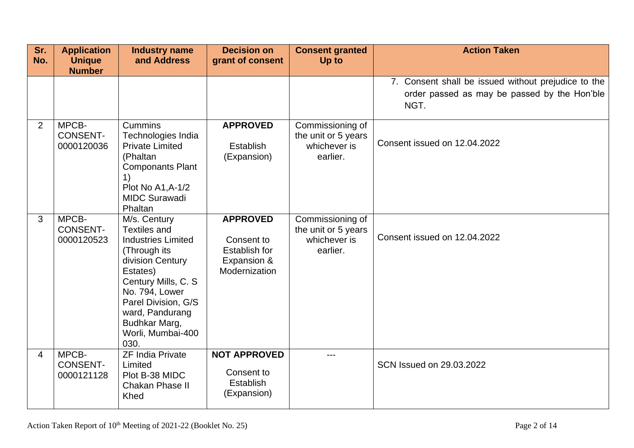| Sr.<br>No.     | <b>Application</b><br><b>Unique</b><br><b>Number</b> | <b>Industry name</b><br>and Address                                                                                                                                                                                                                | <b>Decision on</b><br>grant of consent                                         | <b>Consent granted</b><br>Up to                                     | <b>Action Taken</b>                                                                                         |
|----------------|------------------------------------------------------|----------------------------------------------------------------------------------------------------------------------------------------------------------------------------------------------------------------------------------------------------|--------------------------------------------------------------------------------|---------------------------------------------------------------------|-------------------------------------------------------------------------------------------------------------|
|                |                                                      |                                                                                                                                                                                                                                                    |                                                                                |                                                                     | 7. Consent shall be issued without prejudice to the<br>order passed as may be passed by the Hon'ble<br>NGT. |
| 2              | MPCB-<br><b>CONSENT-</b><br>0000120036               | Cummins<br>Technologies India<br><b>Private Limited</b><br>(Phaltan<br><b>Componants Plant</b><br>Plot No A1, A-1/2<br><b>MIDC Surawadi</b><br>Phaltan                                                                                             | <b>APPROVED</b><br><b>Establish</b><br>(Expansion)                             | Commissioning of<br>the unit or 5 years<br>whichever is<br>earlier. | Consent issued on 12.04.2022                                                                                |
| 3              | MPCB-<br><b>CONSENT-</b><br>0000120523               | M/s. Century<br><b>Textiles and</b><br><b>Industries Limited</b><br>(Through its<br>division Century<br>Estates)<br>Century Mills, C. S.<br>No. 794, Lower<br>Parel Division, G/S<br>ward, Pandurang<br>Budhkar Marg,<br>Worli, Mumbai-400<br>030. | <b>APPROVED</b><br>Consent to<br>Establish for<br>Expansion &<br>Modernization | Commissioning of<br>the unit or 5 years<br>whichever is<br>earlier. | Consent issued on 12.04.2022                                                                                |
| $\overline{4}$ | MPCB-<br><b>CONSENT-</b><br>0000121128               | <b>ZF India Private</b><br>Limited<br>Plot B-38 MIDC<br>Chakan Phase II<br><b>Khed</b>                                                                                                                                                             | <b>NOT APPROVED</b><br>Consent to<br><b>Establish</b><br>(Expansion)           |                                                                     | SCN Issued on 29.03.2022                                                                                    |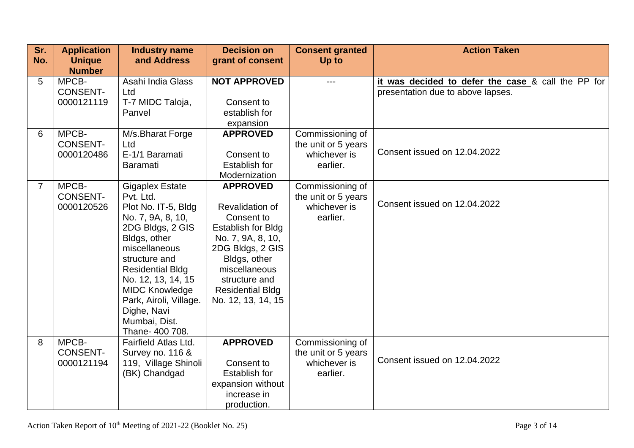| Sr.            | <b>Application</b>                     | <b>Industry name</b>                                                                                                                                                                                                                                                                                         | <b>Decision on</b>                                                                                                                                                                                                        | <b>Consent granted</b>                                              | <b>Action Taken</b>                                                                     |
|----------------|----------------------------------------|--------------------------------------------------------------------------------------------------------------------------------------------------------------------------------------------------------------------------------------------------------------------------------------------------------------|---------------------------------------------------------------------------------------------------------------------------------------------------------------------------------------------------------------------------|---------------------------------------------------------------------|-----------------------------------------------------------------------------------------|
| No.            | <b>Unique</b><br><b>Number</b>         | and Address                                                                                                                                                                                                                                                                                                  | grant of consent                                                                                                                                                                                                          | Up to                                                               |                                                                                         |
| 5              | MPCB-<br><b>CONSENT-</b><br>0000121119 | Asahi India Glass<br>Ltd<br>T-7 MIDC Taloja,<br>Panvel                                                                                                                                                                                                                                                       | <b>NOT APPROVED</b><br>Consent to<br>establish for<br>expansion                                                                                                                                                           |                                                                     | it was decided to defer the case & call the PP for<br>presentation due to above lapses. |
| 6              | MPCB-<br><b>CONSENT-</b><br>0000120486 | M/s.Bharat Forge<br>Ltd<br>E-1/1 Baramati<br><b>Baramati</b>                                                                                                                                                                                                                                                 | <b>APPROVED</b><br>Consent to<br><b>Establish for</b><br>Modernization                                                                                                                                                    | Commissioning of<br>the unit or 5 years<br>whichever is<br>earlier. | Consent issued on 12.04.2022                                                            |
| $\overline{7}$ | MPCB-<br><b>CONSENT-</b><br>0000120526 | <b>Gigaplex Estate</b><br>Pvt. Ltd.<br>Plot No. IT-5, Bldg<br>No. 7, 9A, 8, 10,<br>2DG Bldgs, 2 GIS<br>Bldgs, other<br>miscellaneous<br>structure and<br><b>Residential Bldg</b><br>No. 12, 13, 14, 15<br><b>MIDC Knowledge</b><br>Park, Airoli, Village.<br>Dighe, Navi<br>Mumbai, Dist.<br>Thane- 400 708. | <b>APPROVED</b><br>Revalidation of<br>Consent to<br><b>Establish for Bldg</b><br>No. 7, 9A, 8, 10,<br>2DG Bldgs, 2 GIS<br>Bldgs, other<br>miscellaneous<br>structure and<br><b>Residential Bldg</b><br>No. 12, 13, 14, 15 | Commissioning of<br>the unit or 5 years<br>whichever is<br>earlier. | Consent issued on 12.04.2022                                                            |
| 8              | MPCB-<br><b>CONSENT-</b><br>0000121194 | <b>Fairfield Atlas Ltd.</b><br>Survey no. 116 &<br>119, Village Shinoli<br>(BK) Chandgad                                                                                                                                                                                                                     | <b>APPROVED</b><br>Consent to<br><b>Establish for</b><br>expansion without<br>increase in<br>production.                                                                                                                  | Commissioning of<br>the unit or 5 years<br>whichever is<br>earlier. | Consent issued on 12.04.2022                                                            |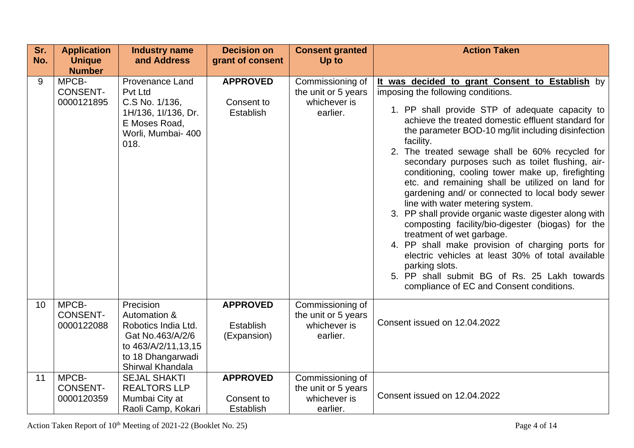| Sr.<br>No. | <b>Application</b><br><b>Unique</b>    | <b>Industry name</b><br>and Address                                                                                                  | <b>Decision on</b><br>grant of consent             | <b>Consent granted</b><br>Up to                                     | <b>Action Taken</b>                                                                                                                                                                                                                                                                                                                                                                                                                                                                                                                                                                                                                                                                                                                                                                                                                                                                                                                        |
|------------|----------------------------------------|--------------------------------------------------------------------------------------------------------------------------------------|----------------------------------------------------|---------------------------------------------------------------------|--------------------------------------------------------------------------------------------------------------------------------------------------------------------------------------------------------------------------------------------------------------------------------------------------------------------------------------------------------------------------------------------------------------------------------------------------------------------------------------------------------------------------------------------------------------------------------------------------------------------------------------------------------------------------------------------------------------------------------------------------------------------------------------------------------------------------------------------------------------------------------------------------------------------------------------------|
|            | <b>Number</b>                          |                                                                                                                                      |                                                    |                                                                     |                                                                                                                                                                                                                                                                                                                                                                                                                                                                                                                                                                                                                                                                                                                                                                                                                                                                                                                                            |
| 9          | MPCB-<br><b>CONSENT-</b><br>0000121895 | <b>Provenance Land</b><br>Pvt Ltd<br>C.S No. 1/136,<br>1H/136, 1I/136, Dr.<br>E Moses Road,<br>Worli, Mumbai- 400<br>018.            | <b>APPROVED</b><br>Consent to<br>Establish         | Commissioning of<br>the unit or 5 years<br>whichever is<br>earlier. | It was decided to grant Consent to Establish by<br>imposing the following conditions.<br>1. PP shall provide STP of adequate capacity to<br>achieve the treated domestic effluent standard for<br>the parameter BOD-10 mg/lit including disinfection<br>facility.<br>2. The treated sewage shall be 60% recycled for<br>secondary purposes such as toilet flushing, air-<br>conditioning, cooling tower make up, firefighting<br>etc. and remaining shall be utilized on land for<br>gardening and/ or connected to local body sewer<br>line with water metering system.<br>3. PP shall provide organic waste digester along with<br>composting facility/bio-digester (biogas) for the<br>treatment of wet garbage.<br>4. PP shall make provision of charging ports for<br>electric vehicles at least 30% of total available<br>parking slots.<br>5. PP shall submit BG of Rs. 25 Lakh towards<br>compliance of EC and Consent conditions. |
| 10         | MPCB-<br><b>CONSENT-</b><br>0000122088 | Precision<br>Automation &<br>Robotics India Ltd.<br>Gat No.463/A/2/6<br>to 463/A/2/11,13,15<br>to 18 Dhangarwadi<br>Shirwal Khandala | <b>APPROVED</b><br><b>Establish</b><br>(Expansion) | Commissioning of<br>the unit or 5 years<br>whichever is<br>earlier. | Consent issued on 12.04.2022                                                                                                                                                                                                                                                                                                                                                                                                                                                                                                                                                                                                                                                                                                                                                                                                                                                                                                               |
| 11         | MPCB-<br><b>CONSENT-</b><br>0000120359 | <b>SEJAL SHAKTI</b><br><b>REALTORS LLP</b><br>Mumbai City at<br>Raoli Camp, Kokari                                                   | <b>APPROVED</b><br>Consent to<br><b>Establish</b>  | Commissioning of<br>the unit or 5 years<br>whichever is<br>earlier. | Consent issued on 12.04.2022                                                                                                                                                                                                                                                                                                                                                                                                                                                                                                                                                                                                                                                                                                                                                                                                                                                                                                               |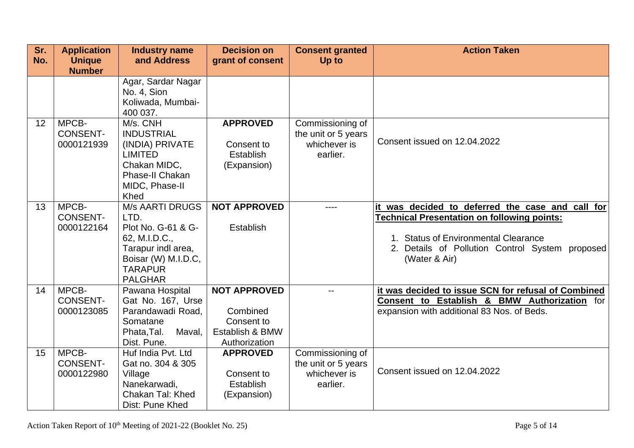| Sr.<br>No. | <b>Application</b><br><b>Unique</b><br><b>Number</b> | <b>Industry name</b><br>and Address                                                                                                                    | <b>Decision on</b><br>grant of consent                                            | <b>Consent granted</b><br>Up to                                     | <b>Action Taken</b>                                                                                                                                                                                                |
|------------|------------------------------------------------------|--------------------------------------------------------------------------------------------------------------------------------------------------------|-----------------------------------------------------------------------------------|---------------------------------------------------------------------|--------------------------------------------------------------------------------------------------------------------------------------------------------------------------------------------------------------------|
|            |                                                      | Agar, Sardar Nagar<br>No. 4, Sion<br>Koliwada, Mumbai-<br>400 037.                                                                                     |                                                                                   |                                                                     |                                                                                                                                                                                                                    |
| 12         | MPCB-<br><b>CONSENT-</b><br>0000121939               | M/s. CNH<br><b>INDUSTRIAL</b><br>(INDIA) PRIVATE<br><b>LIMITED</b><br>Chakan MIDC,<br>Phase-II Chakan<br>MIDC, Phase-II<br>Khed                        | <b>APPROVED</b><br>Consent to<br><b>Establish</b><br>(Expansion)                  | Commissioning of<br>the unit or 5 years<br>whichever is<br>earlier. | Consent issued on 12.04.2022                                                                                                                                                                                       |
| 13         | MPCB-<br><b>CONSENT-</b><br>0000122164               | <b>M/s AARTI DRUGS</b><br>LTD.<br>Plot No. G-61 & G-<br>62, M.I.D.C.,<br>Tarapur indl area,<br>Boisar (W) M.I.D.C,<br><b>TARAPUR</b><br><b>PALGHAR</b> | <b>NOT APPROVED</b><br><b>Establish</b>                                           |                                                                     | it was decided to deferred the case and call for<br><b>Technical Presentation on following points:</b><br>1. Status of Environmental Clearance<br>2. Details of Pollution Control System proposed<br>(Water & Air) |
| 14         | MPCB-<br><b>CONSENT-</b><br>0000123085               | Pawana Hospital<br>Gat No. 167, Urse<br>Parandawadi Road,<br>Somatane<br>Maval,<br>Phata, Tal.<br>Dist. Pune.                                          | <b>NOT APPROVED</b><br>Combined<br>Consent to<br>Establish & BMW<br>Authorization | $\overline{a}$                                                      | it was decided to issue SCN for refusal of Combined<br>Consent to Establish & BMW Authorization for<br>expansion with additional 83 Nos. of Beds.                                                                  |
| 15         | MPCB-<br><b>CONSENT-</b><br>0000122980               | Huf India Pvt. Ltd<br>Gat no. 304 & 305<br>Village<br>Nanekarwadi,<br>Chakan Tal: Khed<br>Dist: Pune Khed                                              | <b>APPROVED</b><br>Consent to<br><b>Establish</b><br>(Expansion)                  | Commissioning of<br>the unit or 5 years<br>whichever is<br>earlier. | Consent issued on 12.04.2022                                                                                                                                                                                       |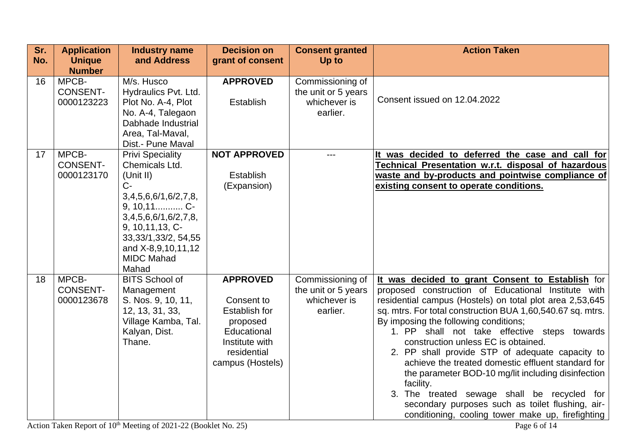| Sr. | <b>Application</b>            | <b>Industry name</b>                  | <b>Decision on</b>   | <b>Consent granted</b>              | <b>Action Taken</b>                                                                                                    |
|-----|-------------------------------|---------------------------------------|----------------------|-------------------------------------|------------------------------------------------------------------------------------------------------------------------|
| No. | <b>Unique</b>                 | and Address                           | grant of consent     | Up to                               |                                                                                                                        |
|     | <b>Number</b>                 |                                       |                      |                                     |                                                                                                                        |
| 16  | MPCB-                         | M/s. Husco                            | <b>APPROVED</b>      | Commissioning of                    |                                                                                                                        |
|     | <b>CONSENT-</b>               | Hydraulics Pvt. Ltd.                  |                      | the unit or 5 years                 | Consent issued on 12.04.2022                                                                                           |
|     | 0000123223                    | Plot No. A-4, Plot                    | <b>Establish</b>     | whichever is                        |                                                                                                                        |
|     |                               | No. A-4, Talegaon                     |                      | earlier.                            |                                                                                                                        |
|     |                               | Dabhade Industrial                    |                      |                                     |                                                                                                                        |
|     |                               | Area, Tal-Maval,<br>Dist.- Pune Maval |                      |                                     |                                                                                                                        |
| 17  | MPCB-                         | <b>Privi Speciality</b>               | <b>NOT APPROVED</b>  |                                     | It was decided to deferred the case and call for                                                                       |
|     | <b>CONSENT-</b>               | Chemicals Ltd.                        |                      |                                     | <b>Technical Presentation w.r.t. disposal of hazardous</b>                                                             |
|     | 0000123170                    | (Unit II)                             | <b>Establish</b>     |                                     | waste and by-products and pointwise compliance of                                                                      |
|     |                               | $C-$                                  | (Expansion)          |                                     | existing consent to operate conditions.                                                                                |
|     |                               | 3,4,5,6,6/1,6/2,7,8,                  |                      |                                     |                                                                                                                        |
|     |                               | 9, 10, 11 C-                          |                      |                                     |                                                                                                                        |
|     |                               | 3,4,5,6,6/1,6/2,7,8,                  |                      |                                     |                                                                                                                        |
|     |                               | 9, 10, 11, 13, C-                     |                      |                                     |                                                                                                                        |
|     |                               | 33, 33/1, 33/2, 54, 55                |                      |                                     |                                                                                                                        |
|     |                               | and X-8,9,10,11,12                    |                      |                                     |                                                                                                                        |
|     |                               | <b>MIDC Mahad</b>                     |                      |                                     |                                                                                                                        |
|     |                               | Mahad                                 |                      |                                     |                                                                                                                        |
| 18  | MPCB-                         | <b>BITS School of</b>                 | <b>APPROVED</b>      | Commissioning of                    | It was decided to grant Consent to Establish for                                                                       |
|     | <b>CONSENT-</b><br>0000123678 | Management                            | Consent to           | the unit or 5 years<br>whichever is | proposed construction of Educational Institute with                                                                    |
|     |                               | S. Nos. 9, 10, 11,<br>12, 13, 31, 33, | <b>Establish for</b> | earlier.                            | residential campus (Hostels) on total plot area 2,53,645<br>sq. mtrs. For total construction BUA 1,60,540.67 sq. mtrs. |
|     |                               | Village Kamba, Tal.                   | proposed             |                                     | By imposing the following conditions;                                                                                  |
|     |                               | Kalyan, Dist.                         | Educational          |                                     | 1. PP shall not take effective steps towards                                                                           |
|     |                               | Thane.                                | Institute with       |                                     | construction unless EC is obtained.                                                                                    |
|     |                               |                                       | residential          |                                     | 2. PP shall provide STP of adequate capacity to                                                                        |
|     |                               |                                       | campus (Hostels)     |                                     | achieve the treated domestic effluent standard for                                                                     |
|     |                               |                                       |                      |                                     | the parameter BOD-10 mg/lit including disinfection                                                                     |
|     |                               |                                       |                      |                                     | facility.                                                                                                              |
|     |                               |                                       |                      |                                     | 3. The treated sewage shall be recycled for                                                                            |
|     |                               |                                       |                      |                                     | secondary purposes such as toilet flushing, air-                                                                       |
|     |                               |                                       |                      |                                     | conditioning, cooling tower make up, firefighting                                                                      |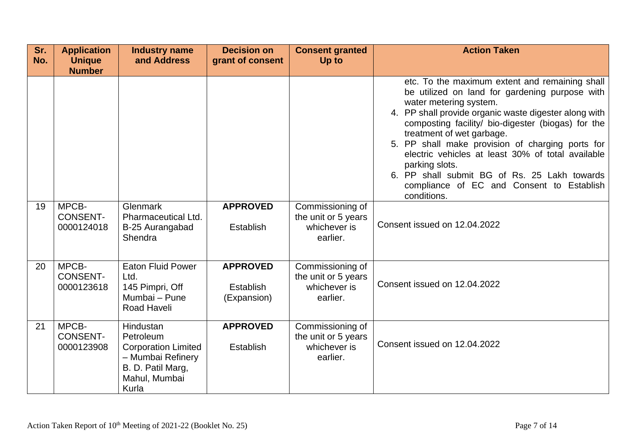| Sr.<br>No. | <b>Application</b><br><b>Unique</b><br><b>Number</b> | <b>Industry name</b><br>and Address                                                                                      | <b>Decision on</b><br>grant of consent             | <b>Consent granted</b><br>Up to                                     | <b>Action Taken</b>                                                                                                                                                                                                                                                                                                                                                                                                                                                                                           |
|------------|------------------------------------------------------|--------------------------------------------------------------------------------------------------------------------------|----------------------------------------------------|---------------------------------------------------------------------|---------------------------------------------------------------------------------------------------------------------------------------------------------------------------------------------------------------------------------------------------------------------------------------------------------------------------------------------------------------------------------------------------------------------------------------------------------------------------------------------------------------|
|            |                                                      |                                                                                                                          |                                                    |                                                                     | etc. To the maximum extent and remaining shall<br>be utilized on land for gardening purpose with<br>water metering system.<br>4. PP shall provide organic waste digester along with<br>composting facility/ bio-digester (biogas) for the<br>treatment of wet garbage.<br>5. PP shall make provision of charging ports for<br>electric vehicles at least 30% of total available<br>parking slots.<br>6. PP shall submit BG of Rs. 25 Lakh towards<br>compliance of EC and Consent to Establish<br>conditions. |
| 19         | MPCB-<br><b>CONSENT-</b><br>0000124018               | Glenmark<br>Pharmaceutical Ltd.<br>B-25 Aurangabad<br>Shendra                                                            | <b>APPROVED</b><br>Establish                       | Commissioning of<br>the unit or 5 years<br>whichever is<br>earlier. | Consent issued on 12.04.2022                                                                                                                                                                                                                                                                                                                                                                                                                                                                                  |
| 20         | MPCB-<br><b>CONSENT-</b><br>0000123618               | <b>Eaton Fluid Power</b><br>Ltd.<br>145 Pimpri, Off<br>Mumbai - Pune<br><b>Road Haveli</b>                               | <b>APPROVED</b><br><b>Establish</b><br>(Expansion) | Commissioning of<br>the unit or 5 years<br>whichever is<br>earlier. | Consent issued on 12.04.2022                                                                                                                                                                                                                                                                                                                                                                                                                                                                                  |
| 21         | MPCB-<br><b>CONSENT-</b><br>0000123908               | Hindustan<br>Petroleum<br><b>Corporation Limited</b><br>- Mumbai Refinery<br>B. D. Patil Marg,<br>Mahul, Mumbai<br>Kurla | <b>APPROVED</b><br>Establish                       | Commissioning of<br>the unit or 5 years<br>whichever is<br>earlier. | Consent issued on 12.04.2022                                                                                                                                                                                                                                                                                                                                                                                                                                                                                  |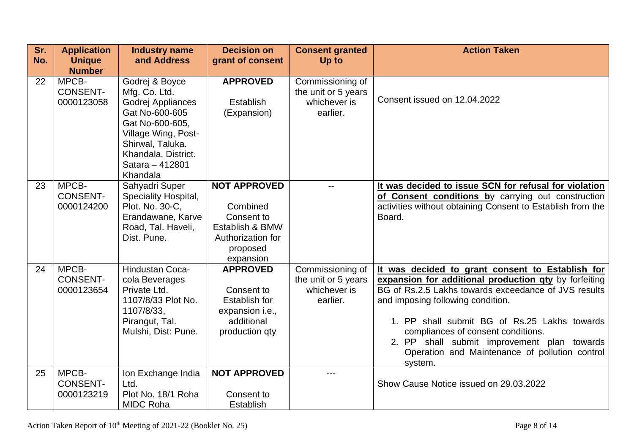| Sr.<br>No. | <b>Application</b><br><b>Unique</b>                     | <b>Industry name</b><br>and Address                                                                                                                                                        | <b>Decision on</b><br>grant of consent                                                                         | <b>Consent granted</b><br>Up to                                     | <b>Action Taken</b>                                                                                                                                                                                                                                                                                                                                                                                      |
|------------|---------------------------------------------------------|--------------------------------------------------------------------------------------------------------------------------------------------------------------------------------------------|----------------------------------------------------------------------------------------------------------------|---------------------------------------------------------------------|----------------------------------------------------------------------------------------------------------------------------------------------------------------------------------------------------------------------------------------------------------------------------------------------------------------------------------------------------------------------------------------------------------|
| 22         | <b>Number</b><br>MPCB-<br><b>CONSENT-</b><br>0000123058 | Godrej & Boyce<br>Mfg. Co. Ltd.<br>Godrej Appliances<br>Gat No-600-605<br>Gat No-600-605,<br>Village Wing, Post-<br>Shirwal, Taluka.<br>Khandala, District.<br>Satara - 412801<br>Khandala | <b>APPROVED</b><br><b>Establish</b><br>(Expansion)                                                             | Commissioning of<br>the unit or 5 years<br>whichever is<br>earlier. | Consent issued on 12.04.2022                                                                                                                                                                                                                                                                                                                                                                             |
| 23         | MPCB-<br><b>CONSENT-</b><br>0000124200                  | Sahyadri Super<br>Speciality Hospital,<br>Plot. No. 30-C.<br>Erandawane, Karve<br>Road, Tal. Haveli,<br>Dist. Pune.                                                                        | <b>NOT APPROVED</b><br>Combined<br>Consent to<br>Establish & BMW<br>Authorization for<br>proposed<br>expansion |                                                                     | It was decided to issue SCN for refusal for violation<br>of Consent conditions by carrying out construction<br>activities without obtaining Consent to Establish from the<br>Board.                                                                                                                                                                                                                      |
| 24         | MPCB-<br><b>CONSENT-</b><br>0000123654                  | Hindustan Coca-<br>cola Beverages<br>Private Ltd.<br>1107/8/33 Plot No.<br>1107/8/33,<br>Pirangut, Tal.<br>Mulshi, Dist: Pune.                                                             | <b>APPROVED</b><br>Consent to<br><b>Establish for</b><br>expansion i.e.,<br>additional<br>production qty       | Commissioning of<br>the unit or 5 years<br>whichever is<br>earlier. | It was decided to grant consent to Establish for<br>expansion for additional production gty by forfeiting<br>BG of Rs.2.5 Lakhs towards exceedance of JVS results<br>and imposing following condition.<br>1. PP shall submit BG of Rs.25 Lakhs towards<br>compliances of consent conditions.<br>2. PP shall submit improvement plan towards<br>Operation and Maintenance of pollution control<br>system. |
| 25         | MPCB-<br><b>CONSENT-</b><br>0000123219                  | Ion Exchange India<br>Ltd.<br>Plot No. 18/1 Roha<br><b>MIDC Roha</b>                                                                                                                       | <b>NOT APPROVED</b><br>Consent to<br><b>Establish</b>                                                          |                                                                     | Show Cause Notice issued on 29.03.2022                                                                                                                                                                                                                                                                                                                                                                   |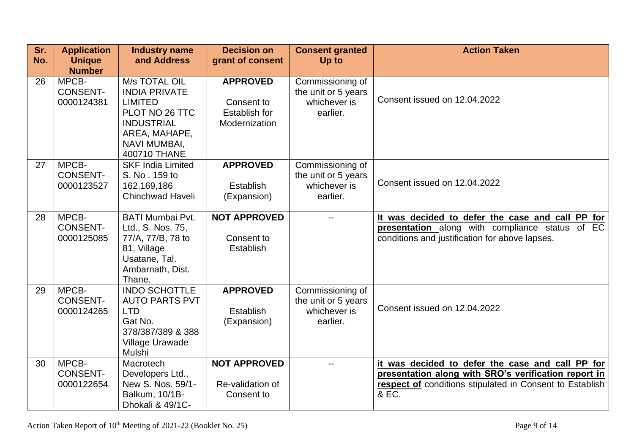| Sr.<br>No. | <b>Application</b><br><b>Unique</b><br><b>Number</b> | <b>Industry name</b><br>and Address                                                                                                                    | <b>Decision on</b><br>grant of consent                          | <b>Consent granted</b><br>Up to                                     | <b>Action Taken</b>                                                                                                                                                           |
|------------|------------------------------------------------------|--------------------------------------------------------------------------------------------------------------------------------------------------------|-----------------------------------------------------------------|---------------------------------------------------------------------|-------------------------------------------------------------------------------------------------------------------------------------------------------------------------------|
| 26         | MPCB-<br><b>CONSENT-</b><br>0000124381               | M/s TOTAL OIL<br><b>INDIA PRIVATE</b><br><b>LIMITED</b><br>PLOT NO 26 TTC<br><b>INDUSTRIAL</b><br>AREA, MAHAPE,<br><b>NAVI MUMBAI,</b><br>400710 THANE | <b>APPROVED</b><br>Consent to<br>Establish for<br>Modernization | Commissioning of<br>the unit or 5 years<br>whichever is<br>earlier. | Consent issued on 12.04.2022                                                                                                                                                  |
| 27         | MPCB-<br><b>CONSENT-</b><br>0000123527               | <b>SKF India Limited</b><br>S. No. 159 to<br>162,169,186<br><b>Chinchwad Haveli</b>                                                                    | <b>APPROVED</b><br><b>Establish</b><br>(Expansion)              | Commissioning of<br>the unit or 5 years<br>whichever is<br>earlier. | Consent issued on 12.04.2022                                                                                                                                                  |
| 28         | MPCB-<br><b>CONSENT-</b><br>0000125085               | <b>BATI Mumbai Pvt.</b><br>Ltd., S. Nos. 75,<br>77/A, 77/B, 78 to<br>81, Village<br>Usatane, Tal.<br>Ambarnath, Dist.<br>Thane.                        | <b>NOT APPROVED</b><br>Consent to<br>Establish                  |                                                                     | It was decided to defer the case and call PP for<br>presentation along with compliance status of EC<br>conditions and justification for above lapses.                         |
| 29         | MPCB-<br><b>CONSENT-</b><br>0000124265               | <b>INDO SCHOTTLE</b><br><b>AUTO PARTS PVT</b><br><b>LTD</b><br>Gat No.<br>378/387/389 & 388<br>Village Urawade<br>Mulshi                               | <b>APPROVED</b><br>Establish<br>(Expansion)                     | Commissioning of<br>the unit or 5 years<br>whichever is<br>earlier. | Consent issued on 12.04.2022                                                                                                                                                  |
| 30         | MPCB-<br><b>CONSENT-</b><br>0000122654               | Macrotech<br>Developers Ltd.,<br>New S. Nos. 59/1-<br>Balkum, 10/1B-<br>Dhokali & 49/1C-                                                               | <b>NOT APPROVED</b><br>Re-validation of<br>Consent to           |                                                                     | it was decided to defer the case and call PP for<br>presentation along with SRO's verification report in<br>respect of conditions stipulated in Consent to Establish<br>& EC. |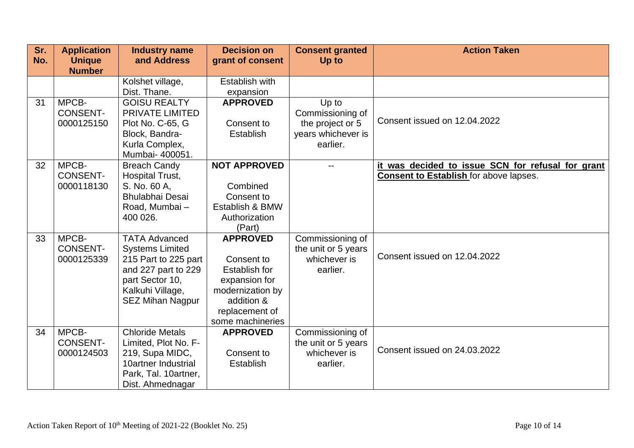| Sr.<br>No. | <b>Application</b><br><b>Unique</b> | <b>Industry name</b><br>and Address | <b>Decision on</b><br>grant of consent | <b>Consent granted</b><br>Up to | <b>Action Taken</b>                               |
|------------|-------------------------------------|-------------------------------------|----------------------------------------|---------------------------------|---------------------------------------------------|
|            | <b>Number</b>                       |                                     |                                        |                                 |                                                   |
|            |                                     | Kolshet village,                    | Establish with                         |                                 |                                                   |
|            |                                     | Dist. Thane.                        | expansion                              |                                 |                                                   |
| 31         | MPCB-                               | <b>GOISU REALTY</b>                 | <b>APPROVED</b>                        | Up to                           |                                                   |
|            | <b>CONSENT-</b>                     | <b>PRIVATE LIMITED</b>              |                                        | Commissioning of                | Consent issued on 12.04.2022                      |
|            | 0000125150                          | Plot No. C-65, G                    | Consent to                             | the project or 5                |                                                   |
|            |                                     | Block, Bandra-                      | <b>Establish</b>                       | years whichever is              |                                                   |
|            |                                     | Kurla Complex,                      |                                        | earlier.                        |                                                   |
|            |                                     | Mumbai- 400051.                     |                                        |                                 |                                                   |
| 32         | MPCB-                               | <b>Breach Candy</b>                 | <b>NOT APPROVED</b>                    |                                 | it was decided to issue SCN for refusal for grant |
|            | <b>CONSENT-</b>                     | Hospital Trust,                     |                                        |                                 | <b>Consent to Establish for above lapses.</b>     |
|            | 0000118130                          | S. No. 60 A,                        | Combined                               |                                 |                                                   |
|            |                                     | <b>Bhulabhai Desai</b>              | Consent to                             |                                 |                                                   |
|            |                                     | Road, Mumbai-                       | Establish & BMW                        |                                 |                                                   |
|            |                                     | 400 026.                            | Authorization                          |                                 |                                                   |
|            |                                     |                                     | (Part)                                 |                                 |                                                   |
| 33         | MPCB-                               | <b>TATA Advanced</b>                | <b>APPROVED</b>                        | Commissioning of                |                                                   |
|            | <b>CONSENT-</b>                     | <b>Systems Limited</b>              |                                        | the unit or 5 years             | Consent issued on 12.04.2022                      |
|            | 0000125339                          | 215 Part to 225 part                | Consent to                             | whichever is                    |                                                   |
|            |                                     | and 227 part to 229                 | Establish for                          | earlier.                        |                                                   |
|            |                                     | part Sector 10,                     | expansion for                          |                                 |                                                   |
|            |                                     | Kalkuhi Village,                    | modernization by                       |                                 |                                                   |
|            |                                     | <b>SEZ Mihan Nagpur</b>             | addition &                             |                                 |                                                   |
|            |                                     |                                     | replacement of                         |                                 |                                                   |
|            |                                     |                                     | some machineries                       |                                 |                                                   |
| 34         | MPCB-                               | <b>Chloride Metals</b>              | <b>APPROVED</b>                        | Commissioning of                |                                                   |
|            | <b>CONSENT-</b>                     | Limited, Plot No. F-                |                                        | the unit or 5 years             | Consent issued on 24.03.2022                      |
|            | 0000124503                          | 219, Supa MIDC,                     | Consent to                             | whichever is                    |                                                   |
|            |                                     | 10artner Industrial                 | <b>Establish</b>                       | earlier.                        |                                                   |
|            |                                     | Park, Tal. 10artner,                |                                        |                                 |                                                   |
|            |                                     | Dist. Ahmednagar                    |                                        |                                 |                                                   |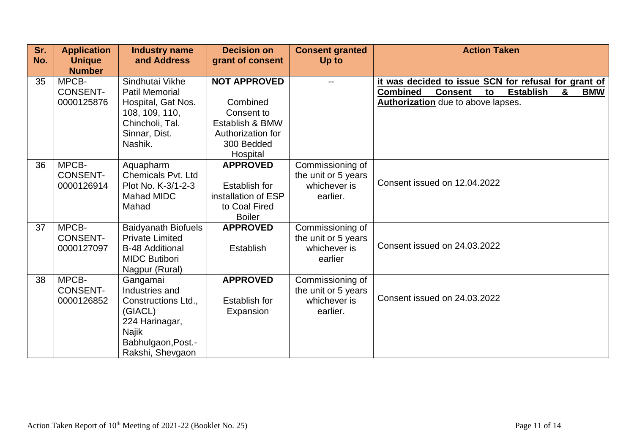| Sr. | <b>Application</b>                     | <b>Industry name</b>                                                                                                              | <b>Decision on</b>                                                                               | <b>Consent granted</b>                                              | <b>Action Taken</b>                                                                                                                                                                 |
|-----|----------------------------------------|-----------------------------------------------------------------------------------------------------------------------------------|--------------------------------------------------------------------------------------------------|---------------------------------------------------------------------|-------------------------------------------------------------------------------------------------------------------------------------------------------------------------------------|
| No. | <b>Unique</b><br><b>Number</b>         | and Address                                                                                                                       | grant of consent                                                                                 | Up to                                                               |                                                                                                                                                                                     |
| 35  | MPCB-<br><b>CONSENT-</b><br>0000125876 | Sindhutai Vikhe<br><b>Patil Memorial</b><br>Hospital, Gat Nos.                                                                    | <b>NOT APPROVED</b><br>Combined                                                                  |                                                                     | it was decided to issue SCN for refusal for grant of<br><b>Combined</b><br><b>Establish</b><br>&<br><b>BMW</b><br><b>Consent</b><br>to<br><b>Authorization</b> due to above lapses. |
|     |                                        | 108, 109, 110,<br>Chincholi, Tal.<br>Sinnar, Dist.<br>Nashik.                                                                     | Consent to<br>Establish & BMW<br>Authorization for<br>300 Bedded<br>Hospital                     |                                                                     |                                                                                                                                                                                     |
| 36  | MPCB-<br><b>CONSENT-</b><br>0000126914 | Aquapharm<br><b>Chemicals Pvt. Ltd</b><br>Plot No. K-3/1-2-3<br><b>Mahad MIDC</b><br>Mahad                                        | <b>APPROVED</b><br><b>Establish for</b><br>installation of ESP<br>to Coal Fired<br><b>Boiler</b> | Commissioning of<br>the unit or 5 years<br>whichever is<br>earlier. | Consent issued on 12.04.2022                                                                                                                                                        |
| 37  | MPCB-<br><b>CONSENT-</b><br>0000127097 | <b>Baidyanath Biofuels</b><br><b>Private Limited</b><br><b>B-48 Additional</b><br><b>MIDC Butibori</b><br>Nagpur (Rural)          | <b>APPROVED</b><br><b>Establish</b>                                                              | Commissioning of<br>the unit or 5 years<br>whichever is<br>earlier  | Consent issued on 24.03.2022                                                                                                                                                        |
| 38  | MPCB-<br><b>CONSENT-</b><br>0000126852 | Gangamai<br>Industries and<br>Constructions Ltd.,<br>(GIACL)<br>224 Harinagar,<br>Najik<br>Babhulgaon, Post.-<br>Rakshi, Shevgaon | <b>APPROVED</b><br><b>Establish for</b><br>Expansion                                             | Commissioning of<br>the unit or 5 years<br>whichever is<br>earlier. | Consent issued on 24.03.2022                                                                                                                                                        |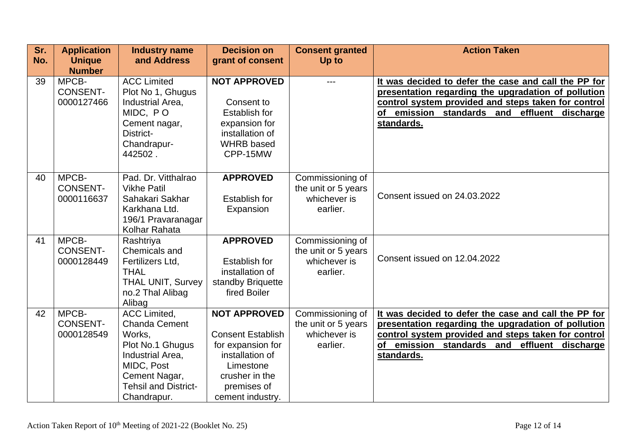| Sr. | <b>Application</b> | <b>Industry name</b>        | <b>Decision on</b>       | <b>Consent granted</b> | <b>Action Taken</b>                                  |
|-----|--------------------|-----------------------------|--------------------------|------------------------|------------------------------------------------------|
| No. | <b>Unique</b>      | and Address                 | grant of consent         | Up to                  |                                                      |
|     | <b>Number</b>      |                             |                          |                        |                                                      |
| 39  | MPCB-              | <b>ACC Limited</b>          | <b>NOT APPROVED</b>      |                        | It was decided to defer the case and call the PP for |
|     | <b>CONSENT-</b>    | Plot No 1, Ghugus           |                          |                        | presentation regarding the upgradation of pollution  |
|     | 0000127466         | Industrial Area,            | Consent to               |                        | control system provided and steps taken for control  |
|     |                    | MIDC, PO                    | Establish for            |                        | emission standards and effluent discharge<br>οf      |
|     |                    | Cement nagar,               | expansion for            |                        | standards.                                           |
|     |                    | District-                   | installation of          |                        |                                                      |
|     |                    | Chandrapur-                 | <b>WHRB</b> based        |                        |                                                      |
|     |                    | 442502.                     | CPP-15MW                 |                        |                                                      |
|     |                    |                             |                          |                        |                                                      |
| 40  | MPCB-              | Pad. Dr. Vitthalrao         | <b>APPROVED</b>          | Commissioning of       |                                                      |
|     | <b>CONSENT-</b>    | <b>Vikhe Patil</b>          |                          | the unit or 5 years    |                                                      |
|     | 0000116637         | Sahakari Sakhar             | <b>Establish for</b>     | whichever is           | Consent issued on 24.03.2022                         |
|     |                    | Karkhana Ltd.               | Expansion                | earlier.               |                                                      |
|     |                    | 196/1 Pravaranagar          |                          |                        |                                                      |
|     |                    | Kolhar Rahata               |                          |                        |                                                      |
| 41  | MPCB-              | Rashtriya                   | <b>APPROVED</b>          | Commissioning of       |                                                      |
|     | <b>CONSENT-</b>    | Chemicals and               |                          | the unit or 5 years    |                                                      |
|     | 0000128449         | Fertilizers Ltd,            | <b>Establish for</b>     | whichever is           | Consent issued on 12.04.2022                         |
|     |                    | <b>THAL</b>                 | installation of          | earlier.               |                                                      |
|     |                    | <b>THAL UNIT, Survey</b>    | standby Briquette        |                        |                                                      |
|     |                    | no.2 Thal Alibag            | fired Boiler             |                        |                                                      |
|     |                    | Alibag                      |                          |                        |                                                      |
| 42  | MPCB-              | <b>ACC Limited.</b>         | <b>NOT APPROVED</b>      | Commissioning of       | It was decided to defer the case and call the PP for |
|     | <b>CONSENT-</b>    | <b>Chanda Cement</b>        |                          | the unit or 5 years    | presentation regarding the upgradation of pollution  |
|     | 0000128549         | Works,                      | <b>Consent Establish</b> | whichever is           | control system provided and steps taken for control  |
|     |                    | Plot No.1 Ghugus            | for expansion for        | earlier.               | of emission standards and effluent discharge         |
|     |                    | Industrial Area,            | installation of          |                        | standards.                                           |
|     |                    | MIDC, Post                  | Limestone                |                        |                                                      |
|     |                    | Cement Nagar,               | crusher in the           |                        |                                                      |
|     |                    | <b>Tehsil and District-</b> | premises of              |                        |                                                      |
|     |                    | Chandrapur.                 | cement industry.         |                        |                                                      |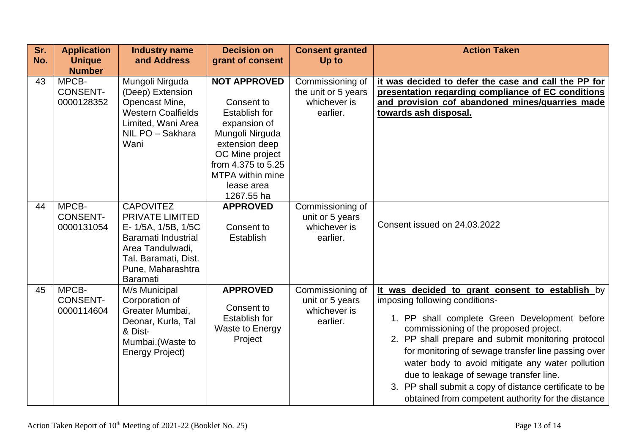| Sr.<br>No. | <b>Application</b><br><b>Unique</b><br><b>Number</b> | <b>Industry name</b><br>and Address                                                                                                                                          | <b>Decision on</b><br>grant of consent                                                                                                                                                                  | <b>Consent granted</b><br>Up to                                     | <b>Action Taken</b>                                                                                                                                                                                                                                                                                                                                                                                                                                                                                       |
|------------|------------------------------------------------------|------------------------------------------------------------------------------------------------------------------------------------------------------------------------------|---------------------------------------------------------------------------------------------------------------------------------------------------------------------------------------------------------|---------------------------------------------------------------------|-----------------------------------------------------------------------------------------------------------------------------------------------------------------------------------------------------------------------------------------------------------------------------------------------------------------------------------------------------------------------------------------------------------------------------------------------------------------------------------------------------------|
| 43         | MPCB-<br><b>CONSENT-</b><br>0000128352               | Mungoli Nirguda<br>(Deep) Extension<br>Opencast Mine,<br><b>Western Coalfields</b><br>Limited, Wani Area<br>NIL PO - Sakhara<br>Wani                                         | <b>NOT APPROVED</b><br>Consent to<br>Establish for<br>expansion of<br>Mungoli Nirguda<br>extension deep<br>OC Mine project<br>from 4.375 to 5.25<br><b>MTPA within mine</b><br>lease area<br>1267.55 ha | Commissioning of<br>the unit or 5 years<br>whichever is<br>earlier. | it was decided to defer the case and call the PP for<br>presentation regarding compliance of EC conditions<br>and provision cof abandoned mines/quarries made<br>towards ash disposal.                                                                                                                                                                                                                                                                                                                    |
| 44         | MPCB-<br><b>CONSENT-</b><br>0000131054               | <b>CAPOVITEZ</b><br><b>PRIVATE LIMITED</b><br>E- 1/5A, 1/5B, 1/5C<br>Baramati Industrial<br>Area Tandulwadi,<br>Tal. Baramati, Dist.<br>Pune, Maharashtra<br><b>Baramati</b> | <b>APPROVED</b><br>Consent to<br><b>Establish</b>                                                                                                                                                       | Commissioning of<br>unit or 5 years<br>whichever is<br>earlier.     | Consent issued on 24.03.2022                                                                                                                                                                                                                                                                                                                                                                                                                                                                              |
| 45         | MPCB-<br><b>CONSENT-</b><br>0000114604               | M/s Municipal<br>Corporation of<br>Greater Mumbai,<br>Deonar, Kurla, Tal<br>& Dist-<br>Mumbai.(Waste to<br>Energy Project)                                                   | <b>APPROVED</b><br>Consent to<br>Establish for<br><b>Waste to Energy</b><br>Project                                                                                                                     | Commissioning of<br>unit or 5 years<br>whichever is<br>earlier.     | It was decided to grant consent to establish by<br>imposing following conditions-<br>1. PP shall complete Green Development before<br>commissioning of the proposed project.<br>2. PP shall prepare and submit monitoring protocol<br>for monitoring of sewage transfer line passing over<br>water body to avoid mitigate any water pollution<br>due to leakage of sewage transfer line.<br>3. PP shall submit a copy of distance certificate to be<br>obtained from competent authority for the distance |